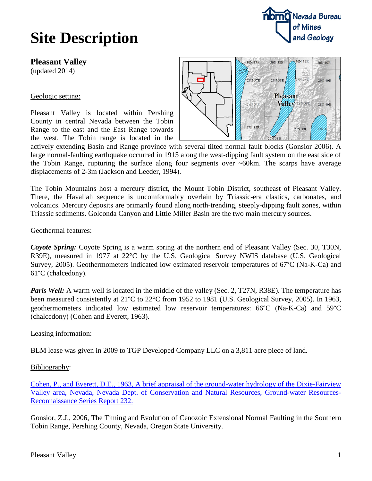# **Site Description**

**Pleasant Valley**

(updated 2014)

#### Geologic setting:

Pleasant Valley is located within Pershing County in central Nevada between the Tobin Range to the east and the East Range towards the west. The Tobin range is located in the



actively extending Basin and Range province with several tilted normal fault blocks (Gonsior 2006). A large normal-faulting earthquake occurred in 1915 along the west-dipping fault system on the east side of the Tobin Range, rupturing the surface along four segments over  $\sim 60 \text{km}$ . The scarps have average displacements of 2-3m (Jackson and Leeder, 1994).

The Tobin Mountains host a mercury district, the Mount Tobin District, southeast of Pleasant Valley. There, the Havallah sequence is uncomformably overlain by Triassic-era clastics, carbonates, and volcanics. Mercury deposits are primarily found along north-trending, steeply-dipping fault zones, within Triassic sediments. Golconda Canyon and Little Miller Basin are the two main mercury sources.

#### Geothermal features:

*Coyote Spring:* Coyote Spring is a warm spring at the northern end of Pleasant Valley (Sec. 30, T30N, R39E), measured in 1977 at 22°C by the U.S. Geological Survey NWIS database (U.S. Geological Survey, 2005). Geothermometers indicated low estimated reservoir temperatures of 67°C (Na-K-Ca) and 61°C (chalcedony).

*Paris Well:* A warm well is located in the middle of the valley (Sec. 2, T27N, R38E). The temperature has been measured consistently at 21°C to 22°C from 1952 to 1981 (U.S. Geological Survey, 2005). In 1963, geothermometers indicated low estimated low reservoir temperatures: 66°C (Na-K-Ca) and 59°C (chalcedony) (Cohen and Everett, 1963).

## Leasing information:

BLM lease was given in 2009 to TGP Developed Company LLC on a 3,811 acre piece of land.

## Bibliography:

[Cohen, P., and Everett, D.E., 1963, A brief appraisal of the ground-water hydrology of the Dixie-Fairview](ftp://ftp.nbmg.unr.edu/pub/Geothermal/11_Documents/Cohen_Dixie-Fairview_1963.pdf)  [Valley area, Nevada, Nevada Dept. of Conservation and Natural Resources, Ground-water Resources-](ftp://ftp.nbmg.unr.edu/pub/Geothermal/11_Documents/Cohen_Dixie-Fairview_1963.pdf)[Reconnaissance Series Report 232.](ftp://ftp.nbmg.unr.edu/pub/Geothermal/11_Documents/Cohen_Dixie-Fairview_1963.pdf)

Gonsior, Z.J., 2006, The Timing and Evolution of Cenozoic Extensional Normal Faulting in the Southern Tobin Range, Pershing County, Nevada, Oregon State University.